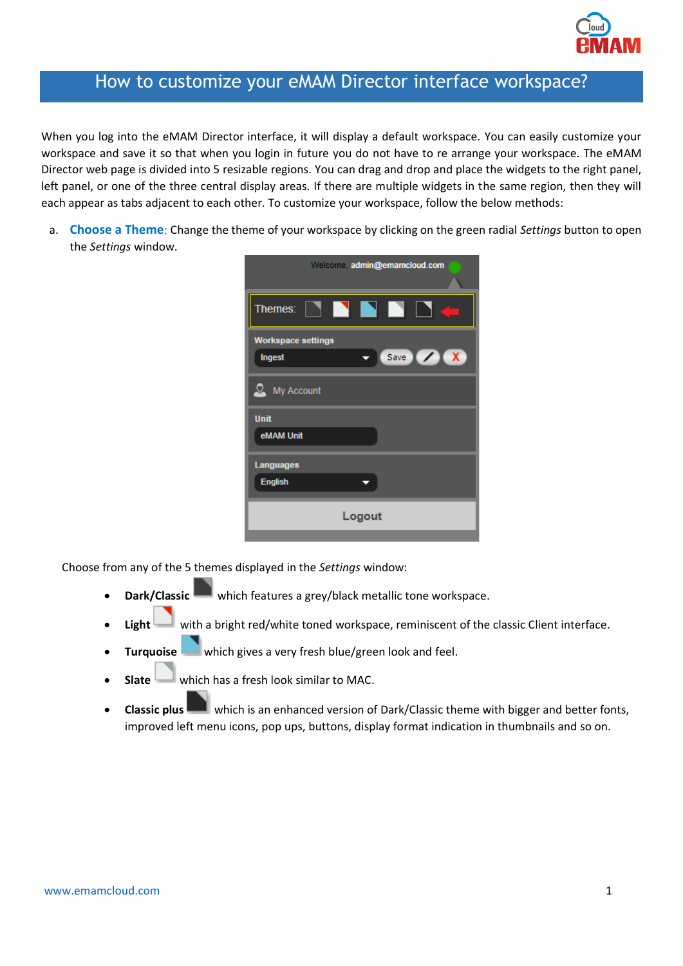

## How to customize your eMAM Director interface workspace?

When you log into the eMAM Director interface, it will display a default workspace. You can easily customize your workspace and save it so that when you login in future you do not have to re arrange your workspace. The eMAM Director web page is divided into 5 resizable regions. You can drag and drop and place the widgets to the right panel, left panel, or one of the three central display areas. If there are multiple widgets in the same region, then they will each appear as tabs adjacent to each other. To customize your workspace, follow the below methods:

a. **Choose a Theme**: Change the theme of your workspace by clicking on the green radial *Settings* button to open the *Settings* window.

| Welcome, admin@emamcloud.com |
|------------------------------|
| Ð<br>Themes:<br>EN 1         |
| <b>Workspace settings</b>    |
| Save X<br><b>Ingest</b>      |
| My Account                   |
| <b>Unit</b>                  |
| eMAM Unit                    |
| <b>Languages</b>             |
| <b>English</b>               |
| Logout                       |
|                              |

Choose from any of the 5 themes displayed in the *Settings* window:

- **Dark/Classic** which features a grey/black metallic tone workspace.
- **Light** with a bright red/white toned workspace, reminiscent of the classic Client interface.
- **Turquoise** which gives a very fresh blue/green look and feel.
- **Slate** which has a fresh look similar to MAC.
- **Classic plus** which is an enhanced version of Dark/Classic theme with bigger and better fonts, improved left menu icons, pop ups, buttons, display format indication in thumbnails and so on.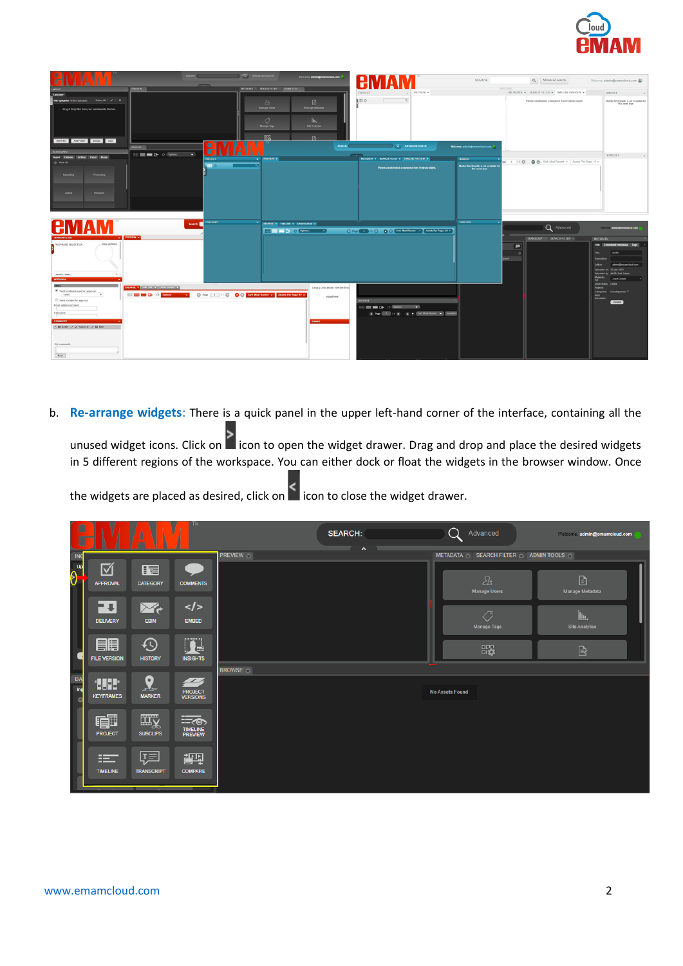

| Q Advanced search                                                                                                                                                                                                                                                                                                                                                             | Writoms, admin@emamcloud.com<br>A                                                                                                       | SEARCH:                                                                                                               | Q Advanced search                                                                                  | Welcome, admin@emamcloud.com (                                                                                |
|-------------------------------------------------------------------------------------------------------------------------------------------------------------------------------------------------------------------------------------------------------------------------------------------------------------------------------------------------------------------------------|-----------------------------------------------------------------------------------------------------------------------------------------|-----------------------------------------------------------------------------------------------------------------------|----------------------------------------------------------------------------------------------------|---------------------------------------------------------------------------------------------------------------|
| <b>PHONEW OF</b>                                                                                                                                                                                                                                                                                                                                                              | METADATA U SEARCH FILTER U ADMIN TOOLS UP<br>PROJECT                                                                                    | PREVIEW =                                                                                                             | <b>CONTRACTOR</b><br>METADATA = SEARCH FILTER = TIMELINE PREVIEW =                                 | <b>MARKER</b>                                                                                                 |
| File Uploader (I) files selected) Select All   /   X                                                                                                                                                                                                                                                                                                                          | <b>BHO</b><br>$\boxed{0}$<br>$\mathfrak{L}_2$                                                                                           |                                                                                                                       | Please oreale/select a sequence from Projects widget.                                              | Marker functionality is not available for                                                                     |
| Drag & Drop files from your machine into this box.<br>Antifact Antifactor Sphat Clear                                                                                                                                                                                                                                                                                         | <b>Manage Metadata</b><br><b>Manage Users</b><br>$\circ$<br>lb.<br><b>Manage Tags</b><br><b>Site Analytics</b><br>廠<br>$\triangleright$ |                                                                                                                       |                                                                                                    | this asset type                                                                                               |
| Н<br><b>DROWN</b> (C)                                                                                                                                                                                                                                                                                                                                                         | Search:                                                                                                                                 | Q Advanced search<br>Welcome, admin@emamcloud.com                                                                     |                                                                                                    |                                                                                                               |
| <b>IASH EIGARD</b><br><b>IIII E MI C+ 0 06mm</b><br>$\blacksquare$<br>Ingest Delivery Archive Cloud Purge                                                                                                                                                                                                                                                                     |                                                                                                                                         |                                                                                                                       |                                                                                                    | SUBCLIPS                                                                                                      |
| PROJECT<br>$\mathbf{v}$<br>O View all                                                                                                                                                                                                                                                                                                                                         | <b>PREVIEW W</b>                                                                                                                        | METADATA V   SEARCH FILTER V   TAKEINE PREVEW V<br>MARKER                                                             | App 1 /1 (2) 2 3 Sort Most Recent w Assets Per Page: 10 w                                          |                                                                                                               |
| $\blacksquare$<br>Processing<br>Unimadine<br>Added<br>Resubmit                                                                                                                                                                                                                                                                                                                |                                                                                                                                         | Marker functionality in not available for<br>Evia asset type<br>Please create/select a sequence from Projects widget. |                                                                                                    |                                                                                                               |
| CATEGORY<br>i vi<br>Н<br>Search:<br><b>JA</b>                                                                                                                                                                                                                                                                                                                                 | <b>EROWSE V THELME V DATH BOARD V</b>                                                                                                   | <b>SUBCLIPS</b>                                                                                                       |                                                                                                    |                                                                                                               |
| PROVEW Y                                                                                                                                                                                                                                                                                                                                                                      |                                                                                                                                         | C Part 1 31 C C Col Sol Monitored + Assistant Pape 13 +                                                               | Q Advanced                                                                                         |                                                                                                               |
| ⊸∎<br>Clear at filters:<br>YOU HAVE SELECTED:<br>Seved Filters:                                                                                                                                                                                                                                                                                                               |                                                                                                                                         |                                                                                                                       | TRANSCRIPT @ SEARCH FILTER @<br><b>METADATA</b><br>$\mathbf{I}^{\bullet}$<br>TB.<br><b>Anthony</b> | Info Embedded metadata Tags<br>den 42<br>administrators/and-com<br>10-Jan-2020<br><b>ANALISA Link Judesse</b> |
|                                                                                                                                                                                                                                                                                                                                                                               |                                                                                                                                         |                                                                                                                       |                                                                                                    | <b>Asset Details</b>                                                                                          |
| <b>BROWSE V EDUCATIVE V DASHIGNED V</b><br><sup>8</sup> Send to internal user for approval<br>Direct Link D . O . See Mont Room . Assets Per Page: 18 .<br><b>ED ON CHOOSE</b><br>Select<br>$\overline{\phantom{a}}$<br>Send to client for approval<br>Email address of client<br>Username<br><b>COMMENTS</b><br>v III Asset v v Approval v 12 Ebin<br>My comments:<br>Post 1 | Drag & Drop assets from the Brow<br>widget here.<br><b>SWONSE</b><br><b>MIDE</b>                                                        | <b>EXECUTER CONSULTS INC.</b><br>(a) Pape (2000) / ( (a) (a) (e) (b) [SoftMod Rocard (w)] [Assett Pa                  | <b>Annel status</b><br>Projects<br>MDS<br>checksum:                                                | Calegories: Uncalegorized<br>Update                                                                           |

b. **Re-arrange widgets**: There is a quick panel in the upper left-hand corner of the interface, containing all the

unused widget icons. Click on  $\blacksquare$  icon to open the widget drawer. Drag and drop and place the desired widgets in 5 different regions of the workspace. You can either dock or float the widgets in the browser window. Once

the widgets are placed as desired, click on  $\leq$  icon to close the widget drawer.

| $\blacksquare$<br>Ū           | ۷                               | ۱<br>1<br>A<br>m              | V<br><b>ETM I</b>                               |               | <b>SEARCH:</b>                  |                        | Advanced                               | Welcome, admin@emamcloud.com        |
|-------------------------------|---------------------------------|-------------------------------|-------------------------------------------------|---------------|---------------------------------|------------------------|----------------------------------------|-------------------------------------|
| <b>ING</b>                    | 叼                               | E                             |                                                 | PREVIEW O     | $\boldsymbol{\mathsf{\Lambda}}$ |                        | METADATA SEARCH FILTER ADMINITOOLS     |                                     |
| $\theta$                      | <b>APPROVAL</b>                 | <b>CATEGORY</b>               | <b>COMMENTS</b>                                 |               |                                 |                        | $\mathcal{E}_a$<br><b>Manage Users</b> | B<br><b>Manage Metadata</b>         |
|                               | F+l<br><b>DELIVERY</b>          | $\mathbb{R}$<br><b>EBIN</b>   | $\lt/\gt$<br><b>EMBED</b>                       |               |                                 |                        | ∕9<br><b>Manage Tags</b>               | <u>Ін.</u><br><b>Site Analytics</b> |
|                               | 目<br><b>FILE VERSION</b>        | $\bigcirc$<br><b>HISTORY</b>  | $\overline{\mathbf{R}}$<br><b>INSIGHTS</b>      |               |                                 |                        | 嚻                                      | $\mathbb{B}$                        |
| <b>DA</b><br>Ing<br>$\bullet$ | <b>HILL</b><br><b>KEYFRAMES</b> | $\mathbf{Q}$<br><b>MARKER</b> | $\overline{\phantom{a}}$<br>PROJECT<br>VERSIONS | <b>BROWSE</b> |                                 | <b>No Assets Found</b> |                                        |                                     |
|                               | 审<br><b>PROJECT</b>             | 一<br><b>SUBCLIPS</b>          | $\equiv$<br><b>TIMELINE</b><br>PREVIEW          |               |                                 |                        |                                        |                                     |
|                               | $\equiv$<br><b>TIMELINE</b>     | 晅<br><b>TRANSCRIPT</b>        | 調<br><b>COMPARE</b>                             |               |                                 |                        |                                        |                                     |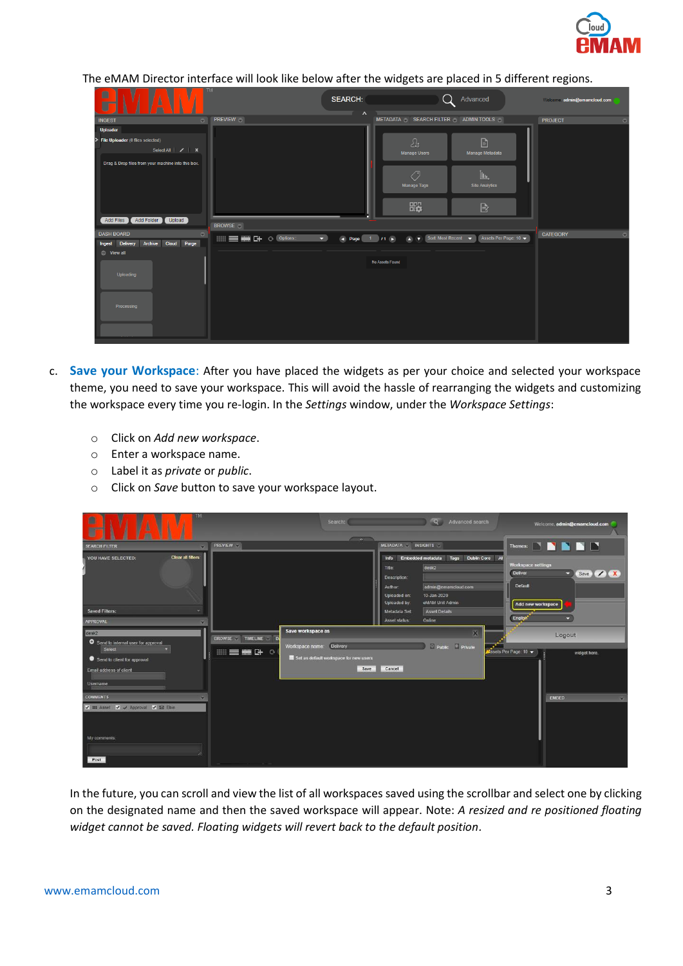

The eMAM Director interface will look like below after the widgets are placed in 5 different regions.

| TM<br>V<br>$\blacksquare$<br>١<br>Å<br>Δ<br>7<br>Ū                                                                                                              |                                        | <b>SEARCH:</b><br>$\lambda$<br>r. |                                                                                  | Advanced                                                             | Welcome, admin@emamcloud.com |
|-----------------------------------------------------------------------------------------------------------------------------------------------------------------|----------------------------------------|-----------------------------------|----------------------------------------------------------------------------------|----------------------------------------------------------------------|------------------------------|
| <b>INGEST</b><br>$\bullet$                                                                                                                                      | <b>PREVIEW</b>                         |                                   | METADATA SEARCH FILTER ADMINITOOLS                                               |                                                                      | <b>PROJECT</b><br>$\circ$    |
| <b>Uploader</b>                                                                                                                                                 |                                        |                                   |                                                                                  |                                                                      |                              |
| > File Uploader (0 files selected)<br>Select All $\vert$ / $\vert$ X<br>Drag & Drop files from your machine into this box.<br>Add Folder<br>Add Files<br>Upload | <b>BROWSE</b>                          |                                   | $\mathcal{E}_a$<br><b>Manage Users</b><br>$\sqrt{2}$<br><b>Manage Tags</b><br>₩, | B<br>Manage Metadata<br>Ìщ.<br><b>Site Analytics</b><br>$\mathbb{B}$ |                              |
| <b>DASH BOARD</b><br>$\circ$<br>Archive Cloud Purge<br>Ingest Delivery<br>◎ View all                                                                            | <b>THE THE COOPDIONS:</b><br>$\bullet$ | (4) Page $1/1$ /1 $\rightarrow$   | Sort: Most Recent $\blacktriangleright$<br>$\mathbb{R}$                          | Assets Per Page: 10 $\blacktriangleright$                            | <b>CATEGORY</b><br>$\circ$   |
| Uploading<br>Processing                                                                                                                                         |                                        | No Assets Found                   |                                                                                  |                                                                      |                              |

- c. **Save your Workspace**: After you have placed the widgets as per your choice and selected your workspace theme, you need to save your workspace. This will avoid the hassle of rearranging the widgets and customizing the workspace every time you re-login. In the *Settings* window, under the *Workspace Settings*:
	- o Click on *Add new workspace*.
	- o Enter a workspace name.
	- o Label it as *private* or *public*.
	- o Click on *Save* button to save your workspace layout.

| <b>ESTA</b><br>I<br>0<br>$\sqrt{2}$<br>A<br>U                                                                                                       |                                                               | Search:<br>$\sim$ $\sim$                                                                                  |                                                                                                            | Q Advanced search                                                                                                                   |                                                                              | Welcome, admin@emamcloud.com        |
|-----------------------------------------------------------------------------------------------------------------------------------------------------|---------------------------------------------------------------|-----------------------------------------------------------------------------------------------------------|------------------------------------------------------------------------------------------------------------|-------------------------------------------------------------------------------------------------------------------------------------|------------------------------------------------------------------------------|-------------------------------------|
| <b>SEARCH FILTER</b>                                                                                                                                | <b>PREVIEW</b>                                                |                                                                                                           | METADATA INSIGHTS                                                                                          |                                                                                                                                     |                                                                              | Themes: <b>NNNN</b>                 |
| <b>Clear all filters:</b><br>YOU HAVE SELECTED:<br><b>Saved Filters:</b><br>APPROVAL                                                                |                                                               |                                                                                                           | Info<br>Title:<br>Description:<br>Author:<br>Uploaded on:<br>Uploaded by:<br>Metadata Set<br>Asset status: | Embedded metadata<br>Tags<br>$d$ esk $2$<br>admin@emamcloud.com<br>10-Jan-2020<br>eMAM Unit Admin<br><b>Asset Details</b><br>Online | Dublin Core Al<br>Workspace settings<br>Deliver<br><b>Default</b><br>English | Save / X<br>×.<br>Add new workspace |
| desk <sub>2</sub><br>Send to internal user for approval<br>Select<br>v.<br>Send to client for approval<br>Email address of client<br><b>Usemame</b> | BROWSE TIMELINE<br>$\mathbf{p}$<br><b>EMC+ O</b><br><b>用日</b> | Save workspace as<br><b>Delivery</b><br>Workspace name:<br>Set as default workspace for new users<br>Save | Cancel                                                                                                     | $\overline{\mathbf{X}}$<br>Public Private                                                                                           | Assets Per Page: 10                                                          | Logout<br>widget here.              |
| <b>COMMENTS</b><br>V III Asset V / Approval V BB Ebin<br>My comments:<br>Post                                                                       |                                                               |                                                                                                           |                                                                                                            |                                                                                                                                     |                                                                              | <b>EMBED</b>                        |

In the future, you can scroll and view the list of all workspaces saved using the scrollbar and select one by clicking on the designated name and then the saved workspace will appear. Note: *A resized and re positioned floating widget cannot be saved. Floating widgets will revert back to the default position.*